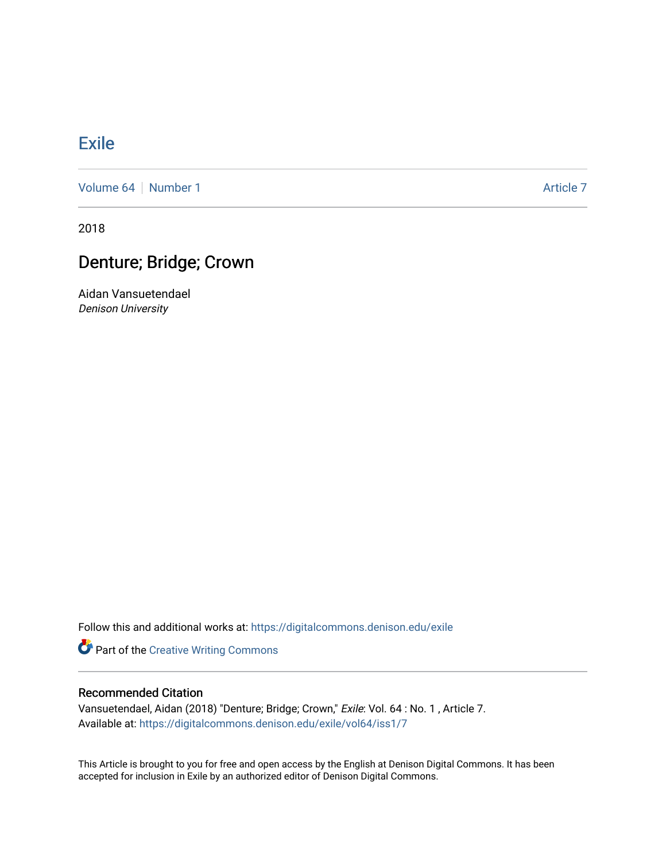## **[Exile](https://digitalcommons.denison.edu/exile)**

[Volume 64](https://digitalcommons.denison.edu/exile/vol64) [Number 1](https://digitalcommons.denison.edu/exile/vol64/iss1) Article 7

2018

## Denture; Bridge; Crown

Aidan Vansuetendael Denison University

Follow this and additional works at: [https://digitalcommons.denison.edu/exile](https://digitalcommons.denison.edu/exile?utm_source=digitalcommons.denison.edu%2Fexile%2Fvol64%2Fiss1%2F7&utm_medium=PDF&utm_campaign=PDFCoverPages) 

**Part of the Creative Writing Commons** 

## Recommended Citation

Vansuetendael, Aidan (2018) "Denture; Bridge; Crown," Exile: Vol. 64 : No. 1 , Article 7. Available at: [https://digitalcommons.denison.edu/exile/vol64/iss1/7](https://digitalcommons.denison.edu/exile/vol64/iss1/7?utm_source=digitalcommons.denison.edu%2Fexile%2Fvol64%2Fiss1%2F7&utm_medium=PDF&utm_campaign=PDFCoverPages) 

This Article is brought to you for free and open access by the English at Denison Digital Commons. It has been accepted for inclusion in Exile by an authorized editor of Denison Digital Commons.